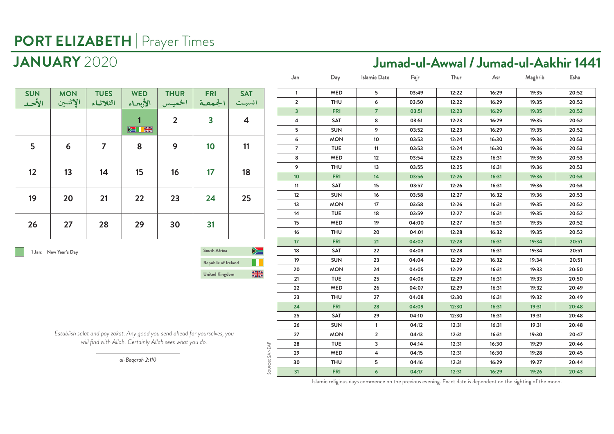### **JANUARY** 2020 **Jumad-ul-Awwal / Jumad-ul-Aakhir 1441**

| <b>SUN</b><br>الأحد | <b>MON</b><br>الإثنين | <b>TUES</b><br>الثلاثاء | <b>WED</b><br>الأبعاء | <b>THUR</b><br>الخميس | <b>FRI</b><br>الجمعة    | <b>SAT</b><br>السبت     |
|---------------------|-----------------------|-------------------------|-----------------------|-----------------------|-------------------------|-------------------------|
|                     |                       |                         | <b>DELLE</b>          | $\overline{2}$        | $\overline{\mathbf{3}}$ | $\overline{\mathbf{4}}$ |
| 5                   | 6                     | $\overline{ }$          | 8                     | 9                     | 10                      | 11                      |
| 12                  | 13                    | 14                      | 15                    | 16                    | 17                      | 18                      |
| 19                  | 20                    | 21                      | 22                    | 23                    | 24                      | 25                      |
| 26                  | 27                    | 28                      | 29                    | 30                    | 31                      |                         |

 **1 Jan: New Year's Day**

**Republic of Ireland South Africa United Kingdom**

 $\sum$ H  $\frac{N}{N}$ 

*Establish salat and pay zakat. Any good you send ahead for yourselves, you will find with Allah. Certainly Allah sees what you do.*

|                | Jan                     | Day        | <b>Islamic Date</b> | Fajr  | Thur  | Asr   | Maghrib | Esha  |
|----------------|-------------------------|------------|---------------------|-------|-------|-------|---------|-------|
|                | 1                       | WED        | 5                   | 03:49 | 12:22 | 16:29 | 19:35   | 20:52 |
|                | $\overline{\mathbf{2}}$ | THU        | 6                   | 03:50 | 12:22 | 16:29 | 19:35   | 20:52 |
|                | 3                       | <b>FRI</b> | 7                   | 03:51 | 12:23 | 16:29 | 19:35   | 20:52 |
|                | 4                       | SAT        | 8                   | 03:51 | 12:23 | 16:29 | 19:35   | 20:52 |
|                | 5                       | <b>SUN</b> | 9                   | 03:52 | 12:23 | 16:29 | 19:35   | 20:52 |
|                | 6                       | <b>MON</b> | $10$                | 03:53 | 12:24 | 16:30 | 19:36   | 20:53 |
|                | $\overline{7}$          | <b>TUE</b> | 11                  | 03:53 | 12:24 | 16:30 | 19:36   | 20:53 |
|                | 8                       | WED        | 12                  | 03:54 | 12:25 | 16:31 | 19:36   | 20:53 |
|                | 9                       | <b>THU</b> | 13                  | 03:55 | 12:25 | 16:31 | 19:36   | 20:53 |
|                | 10                      | <b>FRI</b> | 14                  | 03:56 | 12:26 | 16:31 | 19:36   | 20:53 |
|                | 11                      | SAT        | 15                  | 03:57 | 12:26 | 16:31 | 19:36   | 20:53 |
|                | 12                      | <b>SUN</b> | 16                  | 03:58 | 12:27 | 16:32 | 19:36   | 20:53 |
|                | 13                      | <b>MON</b> | 17                  | 03:58 | 12:26 | 16:31 | 19:35   | 20:52 |
|                | 14                      | <b>TUE</b> | 18                  | 03:59 | 12:27 | 16:31 | 19:35   | 20:52 |
|                | 15                      | WED        | 19                  | 04:00 | 12:27 | 16:31 | 19:35   | 20:52 |
|                | 16                      | <b>THU</b> | 20                  | 04:01 | 12:28 | 16:32 | 19:35   | 20:52 |
|                | 17                      | <b>FRI</b> | 21                  | 04:02 | 12:28 | 16:31 | 19:34   | 20:51 |
|                | 18                      | SAT        | 22                  | 04:03 | 12:28 | 16:31 | 19:34   | 20:51 |
|                | 19                      | <b>SUN</b> | 23                  | 04:04 | 12:29 | 16:32 | 19:34   | 20:51 |
|                | 20                      | <b>MON</b> | 24                  | 04:05 | 12:29 | 16:31 | 19:33   | 20:50 |
|                | 21                      | <b>TUE</b> | 25                  | 04:06 | 12:29 | 16:31 | 19:33   | 20:50 |
|                | 22                      | WED        | 26                  | 04:07 | 12:29 | 16:31 | 19:32   | 20:49 |
|                | 23                      | <b>THU</b> | 27                  | 04:08 | 12:30 | 16:31 | 19:32   | 20:49 |
|                | 24                      | <b>FRI</b> | 28                  | 04:09 | 12:30 | 16:31 | 19:31   | 20:48 |
|                | 25                      | SAT        | 29                  | 04:10 | 12:30 | 16:31 | 19:31   | 20:48 |
|                | 26                      | <b>SUN</b> | $\mathbf{1}$        | 04:12 | 12:31 | 16:31 | 19:31   | 20:48 |
|                | 27                      | <b>MON</b> | 2                   | 04:13 | 12:31 | 16:31 | 19:30   | 20:47 |
|                | 28                      | <b>TUE</b> | 3                   | 04:14 | 12:31 | 16:30 | 19:29   | 20:46 |
| Source: SANZAF | 29                      | WED        | 4                   | 04:15 | 12:31 | 16:30 | 19:28   | 20:45 |
|                | 30                      | <b>THU</b> | 5                   | 04:16 | 12:31 | 16:29 | 19:27   | 20:44 |
|                | 31                      | <b>FRI</b> | 6                   | 04:17 | 12:31 | 16:29 | 19:26   | 20:43 |

*al-Baqarah 2:110*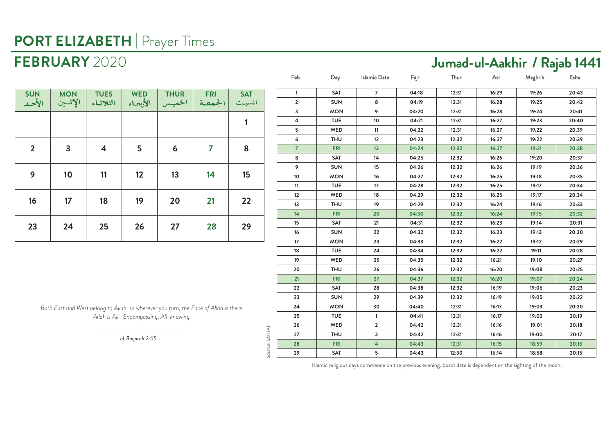### **FEBRUARY** 2020 **Jumad-ul-Aakhir / Rajab 1441**

| <b>SUN</b><br>الأحد | <b>MON</b><br>الإثنين | <b>TUES</b><br>الثلاثاء | <b>WED</b><br>الأبحاء | <b>THUR</b><br>الخميس | <b>FRI</b><br>الجمعة | <b>SAT</b><br>السبت |
|---------------------|-----------------------|-------------------------|-----------------------|-----------------------|----------------------|---------------------|
|                     |                       |                         |                       |                       |                      | 1                   |
| $\overline{2}$      | $\overline{3}$        | $\overline{\mathbf{4}}$ | 5                     | 6                     | 7                    | 8                   |
| 9                   | 10                    | 11                      | 12                    | 13                    | 14                   | 15                  |
| 16                  | 17                    | 18                      | 19                    | 20                    | 21                   | 22                  |
| 23                  | 24                    | 25                      | 26                    | 27                    | 28                   | 29                  |

*Both East and West belong to Allah, so wherever you turn, the Face of Allah is there. Allah is All- Encompassing, All-knowing.*

*al-Baqarah 2:115*

Source: SANZAF

Source: SANZAF

| Feb            | Day        | Islamic Date            | Fajr  | Thur  | Asr   | Maghrib | Esha  |
|----------------|------------|-------------------------|-------|-------|-------|---------|-------|
| $\mathbf{1}$   | SAT        | $\overline{7}$          | 04:18 | 12:31 | 16:29 | 19:26   | 20:43 |
| $\overline{2}$ | <b>SUN</b> | 8                       | 04:19 | 12:31 | 16:28 | 19:25   | 20:42 |
| 3              | <b>MON</b> | 9                       | 04:20 | 12:31 | 16:28 | 19:24   | 20:41 |
| 4              | <b>TUE</b> | 10                      | 04:21 | 12:31 | 16:27 | 19:23   | 20:40 |
| 5              | WED        | 11                      | 04:22 | 12:31 | 16:27 | 19:22   | 20:39 |
| 6              | <b>THU</b> | 12                      | 04:23 | 12:32 | 16:27 | 19:22   | 20:39 |
| $\overline{7}$ | <b>FRI</b> | 13                      | 04:24 | 12:32 | 16:27 | 19:21   | 20:38 |
| 8              | SAT        | 14                      | 04:25 | 12:32 | 16:26 | 19:20   | 20:37 |
| 9              | <b>SUN</b> | 15                      | 04:26 | 12:32 | 16:26 | 19:19   | 20:36 |
| 10             | <b>MON</b> | 16                      | 04:27 | 12:32 | 16:25 | 19:18   | 20:35 |
| 11             | <b>TUE</b> | 17                      | 04:28 | 12:32 | 16:25 | 19:17   | 20:34 |
| 12             | WED        | 18                      | 04:29 | 12:32 | 16:25 | 19:17   | 20:34 |
| 13             | <b>THU</b> | 19                      | 04:29 | 12:32 | 16:24 | 19:16   | 20:33 |
| 14             | <b>FRI</b> | 20                      | 04:30 | 12:32 | 16:24 | 19:15   | 20:32 |
| 15             | SAT        | 21                      | 04:31 | 12:32 | 16:23 | 19:14   | 20:31 |
| 16             | <b>SUN</b> | 22                      | 04:32 | 12:32 | 16:23 | 19:13   | 20:30 |
| 17             | <b>MON</b> | 23                      | 04:33 | 12:32 | 16:22 | 19:12   | 20:29 |
| 18             | <b>TUE</b> | 24                      | 04:34 | 12:32 | 16:22 | 19:11   | 20:28 |
| 19             | <b>WED</b> | 25                      | 04:35 | 12:32 | 16:21 | 19:10   | 20:27 |
| 20             | <b>THU</b> | 26                      | 04:36 | 12:32 | 16:20 | 19:08   | 20:25 |
| 21             | <b>FRI</b> | 27                      | 04:37 | 12:32 | 16:20 | 19:07   | 20:24 |
| 22             | SAT        | 28                      | 04:38 | 12:32 | 16:19 | 19:06   | 20:23 |
| 23             | <b>SUN</b> | 29                      | 04:39 | 12:32 | 16:19 | 19:05   | 20:22 |
| 24             | <b>MON</b> | 30                      | 04:40 | 12:31 | 16:17 | 19:03   | 20:20 |
| 25             | <b>TUE</b> | $\mathbf{1}$            | 04:41 | 12:31 | 16:17 | 19:02   | 20:19 |
| 26             | WED        | $\overline{2}$          | 04:42 | 12:31 | 16:16 | 19:01   | 20:18 |
| 27             | <b>THU</b> | 3                       | 04:42 | 12:31 | 16:16 | 19:00   | 20:17 |
| 28             | <b>FRI</b> | $\overline{\mathbf{4}}$ | 04:43 | 12:31 | 16:15 | 18:59   | 20:16 |
| 29             | SAT        | 5                       | 04:43 | 12:30 | 16:14 | 18:58   | 20:15 |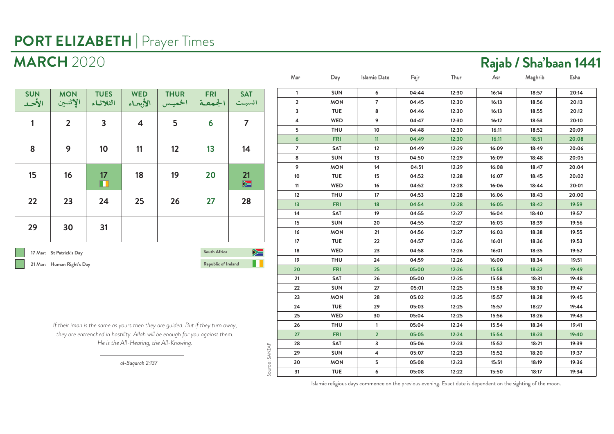### **MARCH** 2020 **Rajab / Sha'baan 1441**

| <b>SUN</b><br>الأحد                                                                               | <b>MON</b><br>الإثنين | <b>TUES</b><br>الثلاثاء | <b>WED</b><br>الأبعاء   | <b>THUR</b><br>الخميس | <b>FRI</b><br>الجمعة | <b>SAT</b><br>السبت |  |  |
|---------------------------------------------------------------------------------------------------|-----------------------|-------------------------|-------------------------|-----------------------|----------------------|---------------------|--|--|
| 1                                                                                                 | $\overline{2}$        | 3                       | $\overline{\mathbf{4}}$ | 5                     | 6                    | 7                   |  |  |
| 8                                                                                                 | 9                     | 10                      | 11                      | 12                    | 13                   | 14                  |  |  |
| 15                                                                                                | 16                    | 17<br>Ш                 | 18                      | 19                    | 20                   | 21<br>$\sum$        |  |  |
| 22                                                                                                | 23                    | 24                      | 25                      | 26                    | 27                   | 28                  |  |  |
| 29                                                                                                | 30                    | 31                      |                         |                       |                      |                     |  |  |
| ➣<br>South Africa<br>17 Mar: St Patrick's Day<br>Republic of Ireland<br>21 Mar: Human Right's Day |                       |                         |                         |                       |                      |                     |  |  |

*If their iman is the same as yours then they are guided. But if they turn away, they are entrenched in hostility. Allah will be enough for you against them. He is the All-Hearing, the All-Knowing.*

Source: SANZAF

Source: SANZAF

| Mar             | Day        | Islamic Date   | Fajr  | Thur  | Asr   | Maghrib | Esha  |
|-----------------|------------|----------------|-------|-------|-------|---------|-------|
| $\mathbf{1}$    | <b>SUN</b> | 6              | 04:44 | 12:30 | 16:14 | 18:57   | 20:14 |
| $\overline{2}$  | <b>MON</b> | $\overline{7}$ | 04:45 | 12:30 | 16:13 | 18:56   | 20:13 |
| 3               | <b>TUE</b> | 8              | 04:46 | 12:30 | 16:13 | 18:55   | 20:12 |
| $\pmb{4}$       | WED        | 9              | 04:47 | 12:30 | 16:12 | 18:53   | 20:10 |
| 5               | <b>THU</b> | 10             | 04:48 | 12:30 | 16:11 | 18:52   | 20:09 |
| $6\overline{6}$ | <b>FRI</b> | 11             | 04:49 | 12:30 | 16:11 | 18:51   | 20:08 |
| $\overline{7}$  | <b>SAT</b> | 12             | 04:49 | 12:29 | 16:09 | 18:49   | 20:06 |
| 8               | SUN        | 13             | 04:50 | 12:29 | 16:09 | 18:48   | 20:05 |
| 9               | <b>MON</b> | 14             | 04:51 | 12:29 | 16:08 | 18:47   | 20:04 |
| $10\,$          | <b>TUE</b> | 15             | 04:52 | 12:28 | 16:07 | 18:45   | 20:02 |
| 11              | WED        | 16             | 04:52 | 12:28 | 16:06 | 18:44   | 20:01 |
| 12              | <b>THU</b> | 17             | 04:53 | 12:28 | 16:06 | 18:43   | 20:00 |
| 13              | <b>FRI</b> | 18             | 04:54 | 12:28 | 16:05 | 18:42   | 19:59 |
| 14              | SAT        | 19             | 04:55 | 12:27 | 16:04 | 18:40   | 19:57 |
| 15              | <b>SUN</b> | 20             | 04:55 | 12:27 | 16:03 | 18:39   | 19:56 |
| 16              | <b>MON</b> | 21             | 04:56 | 12:27 | 16:03 | 18:38   | 19:55 |
| 17              | <b>TUE</b> | 22             | 04:57 | 12:26 | 16:01 | 18:36   | 19:53 |
| 18              | WED        | 23             | 04:58 | 12:26 | 16:01 | 18:35   | 19:52 |
| 19              | <b>THU</b> | 24             | 04:59 | 12:26 | 16:00 | 18:34   | 19:51 |
| 20              | <b>FRI</b> | 25             | 05:00 | 12:26 | 15:58 | 18:32   | 19:49 |
| 21              | SAT        | 26             | 05:00 | 12:25 | 15:58 | 18:31   | 19:48 |
| 22              | <b>SUN</b> | 27             | 05:01 | 12:25 | 15:58 | 18:30   | 19:47 |
| 23              | <b>MON</b> | 28             | 05:02 | 12:25 | 15:57 | 18:28   | 19:45 |
| 24              | <b>TUE</b> | 29             | 05:03 | 12:25 | 15:57 | 18:27   | 19:44 |
| 25              | WED        | 30             | 05:04 | 12:25 | 15:56 | 18:26   | 19:43 |
| 26              | <b>THU</b> | $\mathbf{1}$   | 05:04 | 12:24 | 15:54 | 18:24   | 19:41 |
| 27              | <b>FRI</b> | $\overline{2}$ | 05:05 | 12:24 | 15:54 | 18:23   | 19:40 |
| 28              | SAT        | 3              | 05:06 | 12:23 | 15:52 | 18:21   | 19:39 |
| 29              | <b>SUN</b> | 4              | 05:07 | 12:23 | 15:52 | 18:20   | 19:37 |
| 30              | <b>MON</b> | 5              | 05:08 | 12:23 | 15:51 | 18:19   | 19:36 |
| 31              | <b>TUE</b> | 6              | 05:08 | 12:22 | 15:50 | 18:17   | 19:34 |

Islamic religious days commence on the previous evening. Exact date is dependent on the sighting of the moon.

*al-Baqarah 2:137*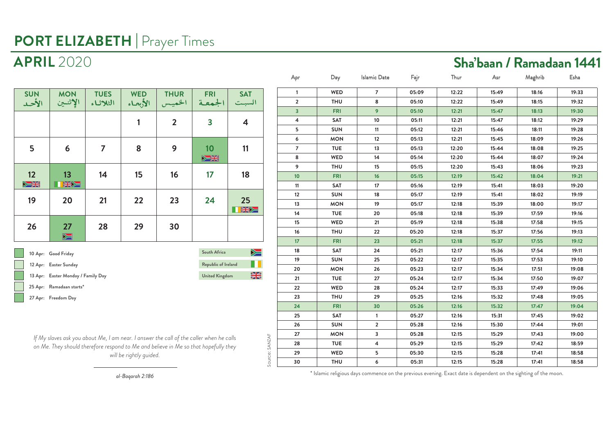| <b>SUN</b><br>الأحد         | <b>MON</b><br>الإثنين | <b>TUES</b><br>الثلاثاء | <b>WED</b><br>الأبعاء | <b>THUR</b><br>الخميس | <b>FRI</b><br>الجمعة    | <b>SAT</b><br>السبت |
|-----------------------------|-----------------------|-------------------------|-----------------------|-----------------------|-------------------------|---------------------|
|                             |                       |                         | 1                     | $\overline{2}$        | $\overline{\mathbf{3}}$ | 4                   |
| 5                           | 6                     | 7                       | 8                     | 9                     | 10<br>$\geq$            | 11                  |
| 12<br>$\sum_{n=1}^{\infty}$ | 13<br>KX              | 14                      | 15                    | 16                    | 17                      | 18                  |
| 19                          | 20                    | 21                      | 22                    | 23                    | 24                      | 25<br>XXX           |
| 26                          | 27<br>$\sum$          | 28                      | 29                    | 30                    |                         |                     |
| $\sim$                      | 10 Apr: Good Friday   | South Africa            | $\geq$                |                       |                         |                     |

**Republic of Ireland 12 Apr: Easter Sunday**  $\frac{N}{2}$  **13 Apr: Easter Monday / Family Day United Kingdom 25 Apr: Ramadaan starts\* 27 Apr: Freedom Day**

*If My slaves ask you about Me, I am near. I answer the call of the caller when he calls on Me. They should therefore respond to Me and believe in Me so that hopefully they will be rightly guided.*

a ka

| Apr                     | Day        | Islamic Date   | Fajr  | Thur  | Asr   | Maghrib | Esha  |
|-------------------------|------------|----------------|-------|-------|-------|---------|-------|
| 1                       | WED        | $\overline{7}$ | 05:09 | 12:22 | 15:49 | 18:16   | 19:33 |
| $\overline{\mathbf{2}}$ | <b>THU</b> | 8              | 05:10 | 12:22 | 15:49 | 18:15   | 19:32 |
| 3                       | <b>FRI</b> | 9              | 05:10 | 12:21 | 15:47 | 18:13   | 19:30 |
| 4                       | <b>SAT</b> | 10             | 05:11 | 12:21 | 15:47 | 18:12   | 19:29 |
| 5                       | <b>SUN</b> | 11             | 05:12 | 12:21 | 15:46 | 18:11   | 19:28 |
| 6                       | <b>MON</b> | 12             | 05:13 | 12:21 | 15:45 | 18:09   | 19:26 |
| 7                       | <b>TUE</b> | 13             | 05:13 | 12:20 | 15:44 | 18:08   | 19:25 |
| 8                       | WED        | 14             | 05:14 | 12:20 | 15:44 | 18:07   | 19:24 |
| 9                       | <b>THU</b> | 15             | 05:15 | 12:20 | 15:43 | 18:06   | 19:23 |
| 10                      | <b>FRI</b> | 16             | 05:15 | 12:19 | 15:42 | 18:04   | 19:21 |
| 11                      | SAT        | 17             | 05:16 | 12:19 | 15:41 | 18:03   | 19:20 |
| 12                      | <b>SUN</b> | 18             | 05:17 | 12:19 | 15:41 | 18:02   | 19:19 |
| 13                      | <b>MON</b> | 19             | 05:17 | 12:18 | 15:39 | 18:00   | 19:17 |
| 14                      | <b>TUE</b> | 20             | 05:18 | 12:18 | 15:39 | 17:59   | 19:16 |
| 15                      | WED        | 21             | 05:19 | 12:18 | 15:38 | 17:58   | 19:15 |
| 16                      | <b>THU</b> | 22             | 05:20 | 12:18 | 15:37 | 17:56   | 19:13 |
| 17                      | <b>FRI</b> | 23             | 05:21 | 12:18 | 15:37 | 17:55   | 19:12 |
| 18                      | SAT        | 24             | 05:21 | 12:17 | 15:36 | 17:54   | 19:11 |
| 19                      | <b>SUN</b> | 25             | 05:22 | 12:17 | 15:35 | 17:53   | 19:10 |
| 20                      | <b>MON</b> | 26             | 05:23 | 12:17 | 15:34 | 17:51   | 19:08 |
| 21                      | <b>TUE</b> | 27             | 05:24 | 12:17 | 15:34 | 17:50   | 19:07 |
| 22                      | WED        | 28             | 05:24 | 12:17 | 15:33 | 17:49   | 19:06 |
| 23                      | <b>THU</b> | 29             | 05:25 | 12:16 | 15:32 | 17:48   | 19:05 |
| 24                      | <b>FRI</b> | 30             | 05:26 | 12:16 | 15:32 | 17:47   | 19:04 |
| 25                      | <b>SAT</b> | $\mathbf{1}$   | 05:27 | 12:16 | 15:31 | 17:45   | 19:02 |
| 26                      | <b>SUN</b> | $\overline{2}$ | 05:28 | 12:16 | 15:30 | 17:44   | 19:01 |
| 27                      | <b>MON</b> | 3              | 05:28 | 12:15 | 15:29 | 17:43   | 19:00 |
| 28                      | <b>TUE</b> | 4              | 05:29 | 12:15 | 15:29 | 17:42   | 18:59 |
| 29                      | WED        | 5              | 05:30 | 12:15 | 15:28 | 17:41   | 18:58 |
| 30                      | <b>THU</b> | 6              | 05:31 | 12:15 | 15:28 | 17:41   | 18:58 |
|                         |            |                |       |       |       |         |       |

*al-Baqarah 2:186*

\* Islamic religious days commence on the previous evening. Exact date is dependent on the sighting of the moon.

### **APRIL** 2020 **Sha'baan / Ramadaan 1441**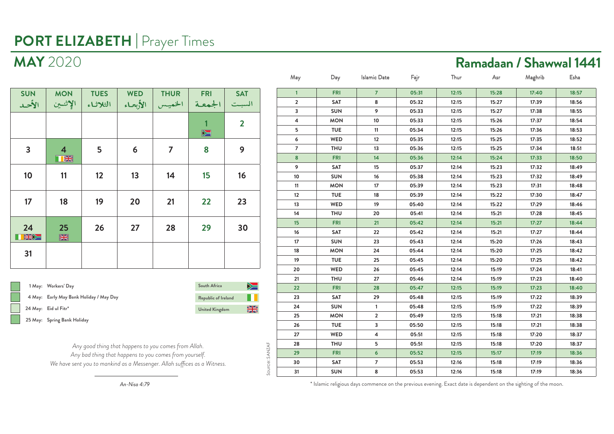|<br>|<br>|

| <b>SUN</b><br>الأحد     | <b>MON</b><br>الإثنين        | <b>TUES</b><br>الثلاثاء | <b>WED</b> | <b>THUR</b><br>الخميس   الأبعاء | <b>FRI</b><br>  الجمعة | <b>SAT</b><br>السبت |
|-------------------------|------------------------------|-------------------------|------------|---------------------------------|------------------------|---------------------|
|                         |                              |                         |            |                                 | $\sum$                 | $\overline{2}$      |
| $\overline{\mathbf{3}}$ | $\overline{4}$<br><b>TEK</b> | 5                       | 6          | 7                               | 8                      | 9                   |
| 10                      | 11                           | 12                      | 13         | 14                              | 15                     | 16                  |
| 17                      | 18                           | 19                      | 20         | 21                              | 22                     | 23                  |
| 24<br>KNK               | 25<br>$\frac{N}{N}$          | 26                      | 27         | 28                              | 29                     | 30                  |
| 31                      |                              |                         |            |                                 |                        |                     |

|  | 1 May: Workers' Day                     | South Africa          | $\blacktriangleright$ $\equiv$ |
|--|-----------------------------------------|-----------------------|--------------------------------|
|  | 4 May: Early May Bank Holiday / May Day | Republic of Ireland   |                                |
|  | 24 May: Eid ul Fitr*                    | <b>United Kingdom</b> | ▒                              |
|  | 25 May: Spring Bank Holiday             |                       |                                |

*Any good thing that happens to you comes from Allah. Any bad thing that happens to you comes from yourself. We have sent you to mankind as a Messenger. Allah suffices as a Witness.*

Source: SANZAF

Source: SANZAF

| May            | Day        | <b>Islamic Date</b> | Fajr  | Thur  | Asr   | Maghrib | Esha  |
|----------------|------------|---------------------|-------|-------|-------|---------|-------|
| $\mathbf{1}$   | <b>FRI</b> | $\overline{7}$      | 05:31 | 12:15 | 15:28 | 17:40   | 18:57 |
| 2              | SAT        | 8                   | 05:32 | 12:15 | 15:27 | 17:39   | 18:56 |
| 3              | <b>SUN</b> | 9                   | 05:33 | 12:15 | 15:27 | 17:38   | 18:55 |
| 4              | <b>MON</b> | 10                  | 05:33 | 12:15 | 15:26 | 17:37   | 18:54 |
| 5              | <b>TUE</b> | 11                  | 05:34 | 12:15 | 15:26 | 17:36   | 18:53 |
| 6              | WED        | 12                  | 05:35 | 12:15 | 15:25 | 17:35   | 18:52 |
| $\overline{7}$ | <b>THU</b> | 13                  | 05:36 | 12:15 | 15:25 | 17:34   | 18:51 |
| 8              | <b>FRI</b> | 14                  | 05:36 | 12:14 | 15:24 | 17:33   | 18:50 |
| 9              | SAT        | 15                  | 05:37 | 12:14 | 15:23 | 17:32   | 18:49 |
| 10             | <b>SUN</b> | 16                  | 05:38 | 12:14 | 15:23 | 17:32   | 18:49 |
| 11             | <b>MON</b> | 17                  | 05:39 | 12:14 | 15:23 | 17:31   | 18:48 |
| 12             | <b>TUE</b> | 18                  | 05:39 | 12:14 | 15:22 | 17:30   | 18:47 |
| 13             | WED        | 19                  | 05:40 | 12:14 | 15:22 | 17:29   | 18:46 |
| 14             | <b>THU</b> | 20                  | 05:41 | 12:14 | 15:21 | 17:28   | 18:45 |
| 15             | <b>FRI</b> | 21                  | 05:42 | 12:14 | 15:21 | 17:27   | 18:44 |
| 16             | SAT        | 22                  | 05:42 | 12:14 | 15:21 | 17:27   | 18:44 |
| 17             | <b>SUN</b> | 23                  | 05:43 | 12:14 | 15:20 | 17:26   | 18:43 |
| 18             | <b>MON</b> | 24                  | 05:44 | 12:14 | 15:20 | 17:25   | 18:42 |
| 19             | <b>TUE</b> | 25                  | 05:45 | 12:14 | 15:20 | 17:25   | 18:42 |
| 20             | WED        | 26                  | 05:45 | 12:14 | 15:19 | 17:24   | 18:41 |
| 21             | <b>THU</b> | 27                  | 05:46 | 12:14 | 15:19 | 17:23   | 18:40 |
| 22             | <b>FRI</b> | 28                  | 05:47 | 12:15 | 15:19 | 17:23   | 18:40 |
| 23             | SAT        | 29                  | 05:48 | 12:15 | 15:19 | 17:22   | 18:39 |
| 24             | <b>SUN</b> | $\mathbf{1}$        | 05:48 | 12:15 | 15:19 | 17:22   | 18:39 |
| 25             | <b>MON</b> | $\overline{2}$      | 05:49 | 12:15 | 15:18 | 17:21   | 18:38 |
| 26             | <b>TUE</b> | 3                   | 05:50 | 12:15 | 15:18 | 17:21   | 18:38 |
| 27             | WED        | 4                   | 05:51 | 12:15 | 15:18 | 17:20   | 18:37 |
| 28             | <b>THU</b> | 5                   | 05:51 | 12:15 | 15:18 | 17:20   | 18:37 |
| 29             | <b>FRI</b> | 6                   | 05:52 | 12:15 | 15:17 | 17:19   | 18:36 |
| 30             | SAT        | $\overline{7}$      | 05:53 | 12:16 | 15:18 | 17:19   | 18:36 |
| 31             | <b>SUN</b> | 8                   | 05:53 | 12:16 | 15:18 | 17:19   | 18:36 |

*An-Nisa 4:79*

\* Islamic religious days commence on the previous evening. Exact date is dependent on the sighting of the moon.

# **MAY** 2020 **Ramadaan / Shawwal 1441**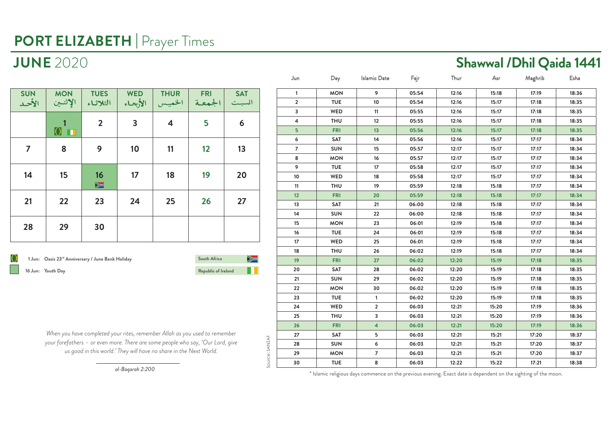| <b>SUN</b><br>الأحد | <b>MON</b><br>الإثنين | <b>TUES</b><br>الثلاثاء     | <b>WED</b><br>الأبعاء | <b>THUR</b><br>الخميس | <b>FRI</b><br>  الجمعة | <b>SAT</b><br>السبت |
|---------------------|-----------------------|-----------------------------|-----------------------|-----------------------|------------------------|---------------------|
|                     | 0 <sub>II</sub>       | $\overline{2}$              | $\mathbf{3}$          | 4                     | 5                      | 6                   |
| $\overline{7}$      | 8                     | 9                           | 10                    | 11                    | 12                     | 13                  |
| 14                  | 15                    | 16<br>$\blacktriangleright$ | 17                    | 18                    | 19                     | 20                  |
| 21                  | 22                    | 23                          | 24                    | 25                    | 26                     | 27                  |
| 28                  | 29                    | 30                          |                       |                       |                        |                     |

**1 Jun: Oasis 23rd Anniversary / June Bank Holiday 16 Jun: Youth Day Republic of Ireland**

**South Africa**▶≡

Source: SANZAF

Source: SANZAF

*When you have completed your rites, remember Allah as you used to remember your forefathers – or even more. There are some people who say, 'Our Lord, give us good in this world.' They will have no share in the Next World.*

| 9<br><b>MON</b><br>05:54<br>15:18<br>17:19<br>18:36<br>$\mathbf{1}$<br>12:16<br>$\overline{2}$<br><b>TUE</b><br>10<br>05:54<br>12:16<br>15:17<br>17:18<br>18:35<br>3<br>WED<br>11<br>05:55<br>12:16<br>15:17<br>17:18<br>18:35<br>4<br>12<br>05:55<br>THU<br>12:16<br>15:17<br>17:18<br>18:35<br>5<br><b>FRI</b><br>13<br>05:56<br>12:16<br>15:17<br>17:18<br>18:35<br>6<br>SAT<br>14<br>05:56<br>17:17<br>18:34<br>12:16<br>15:17<br>$\overline{7}$<br><b>SUN</b><br>15<br>05:57<br>12:17<br>15:17<br>17:17<br>18:34<br>8<br>$16\,$<br><b>MON</b><br>05:57<br>15:17<br>17:17<br>18:34<br>12:17<br>9<br><b>TUE</b><br>17 <sup>2</sup><br>05:58<br>15:17<br>17:17<br>18:34<br>12:17<br>18:34<br>10<br>WED<br>18<br>05:58<br>12:17<br>15:17<br>17:17<br><b>THU</b><br>19<br>05:59<br>17:17<br>18:34<br>11<br>12:18<br>15:18<br>12<br><b>FRI</b><br>20<br>05:59<br>12:18<br>15:18<br>17:17<br>18:34<br>13<br>SAT<br>21<br>06:00<br>18:34<br>12:18<br>15:18<br>17:17<br><b>SUN</b><br>14<br>22<br>06:00<br>12:18<br>15:18<br>17:17<br>18:34<br>15<br><b>MON</b><br>23<br>06:01<br>12:19<br>17:17<br>18:34<br>15:18<br>16<br><b>TUE</b><br>24<br>06:01<br>15:18<br>17:17<br>18:34<br>12:19<br><b>WED</b><br>25<br>18:34<br>17<br>06:01<br>12:19<br>15:18<br>17:17<br>18<br><b>THU</b><br>26<br>06:02<br>12:19<br>18:34<br>15:18<br>17:17<br>19<br><b>FRI</b><br>27<br>06:02<br>12:20<br>15:19<br>17:18<br>18:35<br>20<br>SAT<br>28<br>06:02<br>12:20<br>17:18<br>18:35<br>15:19<br><b>SUN</b><br>29<br>18:35<br>21<br>06:02<br>12:20<br>15:19<br>17:18<br><b>MON</b><br>30<br>06:02<br>12:20<br>15:19<br>17:18<br>18:35<br>22<br>23<br><b>TUE</b><br>$\mathbf{1}$<br>06:02<br>12:20<br>15:19<br>17:18<br>18:35<br>WED<br>$\overline{2}$<br>24<br>06:03<br>12:21<br>15:20<br>17:19<br>18:36<br>25<br><b>THU</b><br>3<br>06:03<br>12:21<br>15:20<br>17:19<br>18:36<br>$\overline{\mathbf{4}}$<br>26<br><b>FRI</b><br>06:03<br>12:21<br>15:20<br>17:19<br>18:36<br>5<br>SAT<br>17:20<br>18:37<br>27<br>06:03<br>12:21<br>15:21<br>28<br><b>SUN</b><br>6<br>06:03<br>12:21<br>15:21<br>17:20<br>18:37<br>$\overline{7}$<br>29<br><b>MON</b><br>06:03<br>17:20<br>18:37<br>12:21<br>15:21<br><b>TUE</b><br>8<br>30<br>06:03<br>12:22<br>15:22<br>17:21<br>18:38 | Jun | Day | Islamic Date | Fajr | Thur | Asr | Maghrib | Esha |
|-------------------------------------------------------------------------------------------------------------------------------------------------------------------------------------------------------------------------------------------------------------------------------------------------------------------------------------------------------------------------------------------------------------------------------------------------------------------------------------------------------------------------------------------------------------------------------------------------------------------------------------------------------------------------------------------------------------------------------------------------------------------------------------------------------------------------------------------------------------------------------------------------------------------------------------------------------------------------------------------------------------------------------------------------------------------------------------------------------------------------------------------------------------------------------------------------------------------------------------------------------------------------------------------------------------------------------------------------------------------------------------------------------------------------------------------------------------------------------------------------------------------------------------------------------------------------------------------------------------------------------------------------------------------------------------------------------------------------------------------------------------------------------------------------------------------------------------------------------------------------------------------------------------------------------------------------------------------------------------------------------------------------------------------------------------------------------------------------------------------------------------------------------------------------------------------------------------------------------------------------------|-----|-----|--------------|------|------|-----|---------|------|
|                                                                                                                                                                                                                                                                                                                                                                                                                                                                                                                                                                                                                                                                                                                                                                                                                                                                                                                                                                                                                                                                                                                                                                                                                                                                                                                                                                                                                                                                                                                                                                                                                                                                                                                                                                                                                                                                                                                                                                                                                                                                                                                                                                                                                                                       |     |     |              |      |      |     |         |      |
|                                                                                                                                                                                                                                                                                                                                                                                                                                                                                                                                                                                                                                                                                                                                                                                                                                                                                                                                                                                                                                                                                                                                                                                                                                                                                                                                                                                                                                                                                                                                                                                                                                                                                                                                                                                                                                                                                                                                                                                                                                                                                                                                                                                                                                                       |     |     |              |      |      |     |         |      |
|                                                                                                                                                                                                                                                                                                                                                                                                                                                                                                                                                                                                                                                                                                                                                                                                                                                                                                                                                                                                                                                                                                                                                                                                                                                                                                                                                                                                                                                                                                                                                                                                                                                                                                                                                                                                                                                                                                                                                                                                                                                                                                                                                                                                                                                       |     |     |              |      |      |     |         |      |
|                                                                                                                                                                                                                                                                                                                                                                                                                                                                                                                                                                                                                                                                                                                                                                                                                                                                                                                                                                                                                                                                                                                                                                                                                                                                                                                                                                                                                                                                                                                                                                                                                                                                                                                                                                                                                                                                                                                                                                                                                                                                                                                                                                                                                                                       |     |     |              |      |      |     |         |      |
|                                                                                                                                                                                                                                                                                                                                                                                                                                                                                                                                                                                                                                                                                                                                                                                                                                                                                                                                                                                                                                                                                                                                                                                                                                                                                                                                                                                                                                                                                                                                                                                                                                                                                                                                                                                                                                                                                                                                                                                                                                                                                                                                                                                                                                                       |     |     |              |      |      |     |         |      |
|                                                                                                                                                                                                                                                                                                                                                                                                                                                                                                                                                                                                                                                                                                                                                                                                                                                                                                                                                                                                                                                                                                                                                                                                                                                                                                                                                                                                                                                                                                                                                                                                                                                                                                                                                                                                                                                                                                                                                                                                                                                                                                                                                                                                                                                       |     |     |              |      |      |     |         |      |
|                                                                                                                                                                                                                                                                                                                                                                                                                                                                                                                                                                                                                                                                                                                                                                                                                                                                                                                                                                                                                                                                                                                                                                                                                                                                                                                                                                                                                                                                                                                                                                                                                                                                                                                                                                                                                                                                                                                                                                                                                                                                                                                                                                                                                                                       |     |     |              |      |      |     |         |      |
|                                                                                                                                                                                                                                                                                                                                                                                                                                                                                                                                                                                                                                                                                                                                                                                                                                                                                                                                                                                                                                                                                                                                                                                                                                                                                                                                                                                                                                                                                                                                                                                                                                                                                                                                                                                                                                                                                                                                                                                                                                                                                                                                                                                                                                                       |     |     |              |      |      |     |         |      |
|                                                                                                                                                                                                                                                                                                                                                                                                                                                                                                                                                                                                                                                                                                                                                                                                                                                                                                                                                                                                                                                                                                                                                                                                                                                                                                                                                                                                                                                                                                                                                                                                                                                                                                                                                                                                                                                                                                                                                                                                                                                                                                                                                                                                                                                       |     |     |              |      |      |     |         |      |
|                                                                                                                                                                                                                                                                                                                                                                                                                                                                                                                                                                                                                                                                                                                                                                                                                                                                                                                                                                                                                                                                                                                                                                                                                                                                                                                                                                                                                                                                                                                                                                                                                                                                                                                                                                                                                                                                                                                                                                                                                                                                                                                                                                                                                                                       |     |     |              |      |      |     |         |      |
|                                                                                                                                                                                                                                                                                                                                                                                                                                                                                                                                                                                                                                                                                                                                                                                                                                                                                                                                                                                                                                                                                                                                                                                                                                                                                                                                                                                                                                                                                                                                                                                                                                                                                                                                                                                                                                                                                                                                                                                                                                                                                                                                                                                                                                                       |     |     |              |      |      |     |         |      |
|                                                                                                                                                                                                                                                                                                                                                                                                                                                                                                                                                                                                                                                                                                                                                                                                                                                                                                                                                                                                                                                                                                                                                                                                                                                                                                                                                                                                                                                                                                                                                                                                                                                                                                                                                                                                                                                                                                                                                                                                                                                                                                                                                                                                                                                       |     |     |              |      |      |     |         |      |
|                                                                                                                                                                                                                                                                                                                                                                                                                                                                                                                                                                                                                                                                                                                                                                                                                                                                                                                                                                                                                                                                                                                                                                                                                                                                                                                                                                                                                                                                                                                                                                                                                                                                                                                                                                                                                                                                                                                                                                                                                                                                                                                                                                                                                                                       |     |     |              |      |      |     |         |      |
|                                                                                                                                                                                                                                                                                                                                                                                                                                                                                                                                                                                                                                                                                                                                                                                                                                                                                                                                                                                                                                                                                                                                                                                                                                                                                                                                                                                                                                                                                                                                                                                                                                                                                                                                                                                                                                                                                                                                                                                                                                                                                                                                                                                                                                                       |     |     |              |      |      |     |         |      |
|                                                                                                                                                                                                                                                                                                                                                                                                                                                                                                                                                                                                                                                                                                                                                                                                                                                                                                                                                                                                                                                                                                                                                                                                                                                                                                                                                                                                                                                                                                                                                                                                                                                                                                                                                                                                                                                                                                                                                                                                                                                                                                                                                                                                                                                       |     |     |              |      |      |     |         |      |
|                                                                                                                                                                                                                                                                                                                                                                                                                                                                                                                                                                                                                                                                                                                                                                                                                                                                                                                                                                                                                                                                                                                                                                                                                                                                                                                                                                                                                                                                                                                                                                                                                                                                                                                                                                                                                                                                                                                                                                                                                                                                                                                                                                                                                                                       |     |     |              |      |      |     |         |      |
|                                                                                                                                                                                                                                                                                                                                                                                                                                                                                                                                                                                                                                                                                                                                                                                                                                                                                                                                                                                                                                                                                                                                                                                                                                                                                                                                                                                                                                                                                                                                                                                                                                                                                                                                                                                                                                                                                                                                                                                                                                                                                                                                                                                                                                                       |     |     |              |      |      |     |         |      |
|                                                                                                                                                                                                                                                                                                                                                                                                                                                                                                                                                                                                                                                                                                                                                                                                                                                                                                                                                                                                                                                                                                                                                                                                                                                                                                                                                                                                                                                                                                                                                                                                                                                                                                                                                                                                                                                                                                                                                                                                                                                                                                                                                                                                                                                       |     |     |              |      |      |     |         |      |
|                                                                                                                                                                                                                                                                                                                                                                                                                                                                                                                                                                                                                                                                                                                                                                                                                                                                                                                                                                                                                                                                                                                                                                                                                                                                                                                                                                                                                                                                                                                                                                                                                                                                                                                                                                                                                                                                                                                                                                                                                                                                                                                                                                                                                                                       |     |     |              |      |      |     |         |      |
|                                                                                                                                                                                                                                                                                                                                                                                                                                                                                                                                                                                                                                                                                                                                                                                                                                                                                                                                                                                                                                                                                                                                                                                                                                                                                                                                                                                                                                                                                                                                                                                                                                                                                                                                                                                                                                                                                                                                                                                                                                                                                                                                                                                                                                                       |     |     |              |      |      |     |         |      |
|                                                                                                                                                                                                                                                                                                                                                                                                                                                                                                                                                                                                                                                                                                                                                                                                                                                                                                                                                                                                                                                                                                                                                                                                                                                                                                                                                                                                                                                                                                                                                                                                                                                                                                                                                                                                                                                                                                                                                                                                                                                                                                                                                                                                                                                       |     |     |              |      |      |     |         |      |
|                                                                                                                                                                                                                                                                                                                                                                                                                                                                                                                                                                                                                                                                                                                                                                                                                                                                                                                                                                                                                                                                                                                                                                                                                                                                                                                                                                                                                                                                                                                                                                                                                                                                                                                                                                                                                                                                                                                                                                                                                                                                                                                                                                                                                                                       |     |     |              |      |      |     |         |      |
|                                                                                                                                                                                                                                                                                                                                                                                                                                                                                                                                                                                                                                                                                                                                                                                                                                                                                                                                                                                                                                                                                                                                                                                                                                                                                                                                                                                                                                                                                                                                                                                                                                                                                                                                                                                                                                                                                                                                                                                                                                                                                                                                                                                                                                                       |     |     |              |      |      |     |         |      |
|                                                                                                                                                                                                                                                                                                                                                                                                                                                                                                                                                                                                                                                                                                                                                                                                                                                                                                                                                                                                                                                                                                                                                                                                                                                                                                                                                                                                                                                                                                                                                                                                                                                                                                                                                                                                                                                                                                                                                                                                                                                                                                                                                                                                                                                       |     |     |              |      |      |     |         |      |
|                                                                                                                                                                                                                                                                                                                                                                                                                                                                                                                                                                                                                                                                                                                                                                                                                                                                                                                                                                                                                                                                                                                                                                                                                                                                                                                                                                                                                                                                                                                                                                                                                                                                                                                                                                                                                                                                                                                                                                                                                                                                                                                                                                                                                                                       |     |     |              |      |      |     |         |      |
|                                                                                                                                                                                                                                                                                                                                                                                                                                                                                                                                                                                                                                                                                                                                                                                                                                                                                                                                                                                                                                                                                                                                                                                                                                                                                                                                                                                                                                                                                                                                                                                                                                                                                                                                                                                                                                                                                                                                                                                                                                                                                                                                                                                                                                                       |     |     |              |      |      |     |         |      |
|                                                                                                                                                                                                                                                                                                                                                                                                                                                                                                                                                                                                                                                                                                                                                                                                                                                                                                                                                                                                                                                                                                                                                                                                                                                                                                                                                                                                                                                                                                                                                                                                                                                                                                                                                                                                                                                                                                                                                                                                                                                                                                                                                                                                                                                       |     |     |              |      |      |     |         |      |
|                                                                                                                                                                                                                                                                                                                                                                                                                                                                                                                                                                                                                                                                                                                                                                                                                                                                                                                                                                                                                                                                                                                                                                                                                                                                                                                                                                                                                                                                                                                                                                                                                                                                                                                                                                                                                                                                                                                                                                                                                                                                                                                                                                                                                                                       |     |     |              |      |      |     |         |      |
|                                                                                                                                                                                                                                                                                                                                                                                                                                                                                                                                                                                                                                                                                                                                                                                                                                                                                                                                                                                                                                                                                                                                                                                                                                                                                                                                                                                                                                                                                                                                                                                                                                                                                                                                                                                                                                                                                                                                                                                                                                                                                                                                                                                                                                                       |     |     |              |      |      |     |         |      |
|                                                                                                                                                                                                                                                                                                                                                                                                                                                                                                                                                                                                                                                                                                                                                                                                                                                                                                                                                                                                                                                                                                                                                                                                                                                                                                                                                                                                                                                                                                                                                                                                                                                                                                                                                                                                                                                                                                                                                                                                                                                                                                                                                                                                                                                       |     |     |              |      |      |     |         |      |

*al-Baqarah 2:200*

\* Islamic religious days commence on the previous evening. Exact date is dependent on the sighting of the moon.

### **JUNE** 2020 **Shawwal /Dhil Qaida 1441**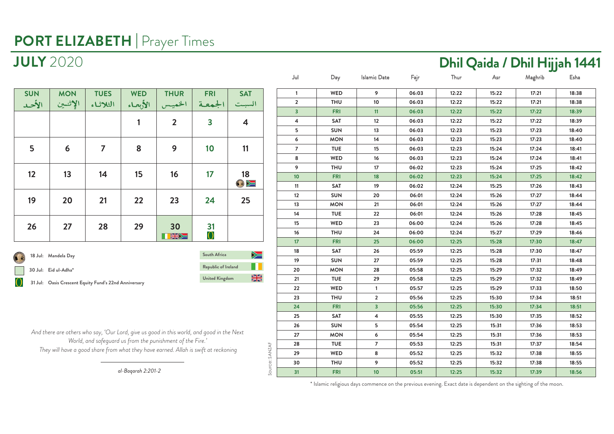| <b>SUN</b><br>الأحد | <b>MON</b><br>الإثنين | <b>TUES</b><br>الثلاثاء | <b>WED</b><br>الأبعاء | <b>THUR</b><br>الخميس | <b>FRI</b><br>الجمعة    | <b>SAT</b><br>السبت     |
|---------------------|-----------------------|-------------------------|-----------------------|-----------------------|-------------------------|-------------------------|
|                     |                       |                         | 1                     | $\overline{2}$        | $\overline{\mathbf{3}}$ | $\overline{\mathbf{4}}$ |
| 5                   | 6                     | $\overline{7}$          | 8                     | 9                     | 10                      | 11                      |
| 12                  | 13                    | 14                      | 15                    | 16                    | 17                      | 18<br>$\bullet$         |
| 19                  | 20                    | 21                      | 22                    | 23                    | 24                      | 25                      |
| 26                  | 27                    | 28                      | 29                    | 30<br>KW              | 31<br>$\rm{O}$          |                         |

**Republic of Ireland South Africa United Kingdom 18 Jul: Mandela Day 30 Jul: Eid ul-Adha\* 31 Jul: Oasis Crescent Equity Fund's 22nd Anniversary**

 $\geq$ T  $\frac{N}{2}$ 

*And there are others who say, 'Our Lord, give us good in this world, and good in the Next World, and safeguard us from the punishment of the Fire.' They will have a good share from what they have earned. Allah is swift at reckoning*

*al-Baqarah 2:201-2*

| Jul             | Day        | Islamic Date            | Fajr  | Thur  | Asr   | Maghrib | Esha  |
|-----------------|------------|-------------------------|-------|-------|-------|---------|-------|
| 1               | WED        | 9                       | 06:03 | 12:22 | 15:22 | 17:21   | 18:38 |
| $\overline{2}$  | <b>THU</b> | 10                      | 06:03 | 12:22 | 15:22 | 17:21   | 18:38 |
| 3               | <b>FRI</b> | 11                      | 06:03 | 12:22 | 15:22 | 17:22   | 18:39 |
| 4               | SAT        | 12                      | 06:03 | 12:22 | 15:22 | 17:22   | 18:39 |
| 5               | <b>SUN</b> | 13                      | 06:03 | 12:23 | 15:23 | 17:23   | 18:40 |
| 6               | <b>MON</b> | 14                      | 06:03 | 12:23 | 15:23 | 17:23   | 18:40 |
| $\overline{7}$  | <b>TUE</b> | 15                      | 06:03 | 12:23 | 15:24 | 17:24   | 18:41 |
| 8               | WED        | 16                      | 06:03 | 12:23 | 15:24 | 17:24   | 18:41 |
| 9               | <b>THU</b> | 17                      | 06:02 | 12:23 | 15:24 | 17:25   | 18:42 |
| 10              | <b>FRI</b> | 18                      | 06:02 | 12:23 | 15:24 | 17:25   | 18:42 |
| 11              | SAT        | 19                      | 06:02 | 12:24 | 15:25 | 17:26   | 18:43 |
| 12              | <b>SUN</b> | 20                      | 06:01 | 12:24 | 15:26 | 17:27   | 18:44 |
| 13              | <b>MON</b> | 21                      | 06:01 | 12:24 | 15:26 | 17:27   | 18:44 |
| 14              | <b>TUE</b> | 22                      | 06:01 | 12:24 | 15:26 | 17:28   | 18:45 |
| 15              | WED        | 23                      | 06:00 | 12:24 | 15:26 | 17:28   | 18:45 |
| 16              | <b>THU</b> | 24                      | 06:00 | 12:24 | 15:27 | 17:29   | 18:46 |
| 17 <sup>2</sup> | <b>FRI</b> | 25                      | 06:00 | 12:25 | 15:28 | 17:30   | 18:47 |
| 18              | SAT        | 26                      | 05:59 | 12:25 | 15:28 | 17:30   | 18:47 |
| 19              | <b>SUN</b> | 27                      | 05:59 | 12:25 | 15:28 | 17:31   | 18:48 |
| 20              | <b>MON</b> | 28                      | 05:58 | 12:25 | 15:29 | 17:32   | 18:49 |
| 21              | <b>TUE</b> | 29                      | 05:58 | 12:25 | 15:29 | 17:32   | 18:49 |
| 22              | WED        | 1                       | 05:57 | 12:25 | 15:29 | 17:33   | 18:50 |
| 23              | THU        | $\overline{\mathbf{2}}$ | 05:56 | 12:25 | 15:30 | 17:34   | 18:51 |
| 24              | <b>FRI</b> | 3                       | 05:56 | 12:25 | 15:30 | 17:34   | 18:51 |
| 25              | SAT        | 4                       | 05:55 | 12:25 | 15:30 | 17:35   | 18:52 |
| 26              | <b>SUN</b> | 5                       | 05:54 | 12:25 | 15:31 | 17:36   | 18:53 |
| 27              | <b>MON</b> | 6                       | 05:54 | 12:25 | 15:31 | 17:36   | 18:53 |
| 28              | <b>TUE</b> | 7                       | 05:53 | 12:25 | 15:31 | 17:37   | 18:54 |
| 29              | WED        | 8                       | 05:52 | 12:25 | 15:32 | 17:38   | 18:55 |
| 30              | <b>THU</b> | 9                       | 05:52 | 12:25 | 15:32 | 17:38   | 18:55 |
| 31              | <b>FRI</b> | 10                      | 05:51 | 12:25 | 15:32 | 17:39   | 18:56 |
|                 |            |                         |       |       |       |         |       |

## **JULY** 2020 **Dhil Qaida / Dhil Hijjah 1441**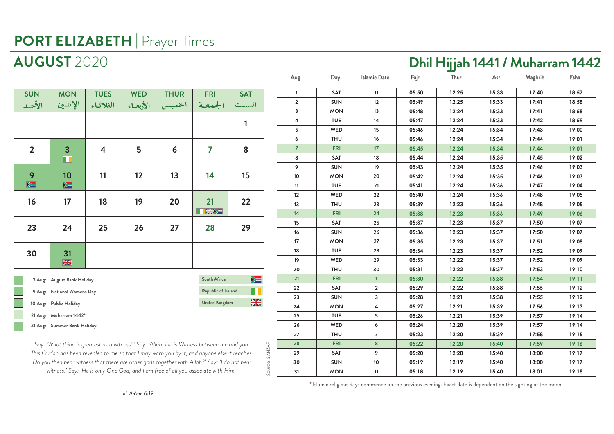### **AUGUST** 2020 **Dhil Hijjah 1441 / Muharram 1442**

**05:50 12:25 15:33 17:40 18:57 05:49 12:25 15:33 17:41 18:58**

| <b>SUN</b>     | <b>MON</b>                                | <b>TUES</b> | <b>WED</b> | <b>THUR</b> | <b>FRI</b>            | <b>SAT</b> |
|----------------|-------------------------------------------|-------------|------------|-------------|-----------------------|------------|
| الأحد          | الإثنين                                   | الثلاثاء    | الأبعاء    | الخميس      | الجمعة                | السبت      |
|                |                                           |             |            |             |                       | 1          |
| $\overline{2}$ | $\overline{\mathbf{3}}$<br>$\blacksquare$ | 4           | 5          | 6           | 7                     | 8          |
| 9<br>$\geq$    | 10<br>$\blacktriangleright$               | 11          | 12         | 13          | 14                    | 15         |
| 16             | 17                                        | 18          | 19         | 20          | 21<br>KW              | 22         |
| 23             | 24                                        | 25          | 26         | 27          | 28                    | 29         |
| 30             | 31<br>器                                   |             |            |             |                       |            |
|                | 3 Aug: August Bank Holiday                |             |            |             | South Africa          | ➣          |
|                | 9 Aug: National Womens Day                |             |            |             | Republic of Ireland   |            |
|                | 10 Aug: Public Holiday                    |             |            |             | <b>United Kingdom</b> | <b>SK</b>  |
|                | 21 Aug: Muharram 1442*                    |             |            |             |                       |            |
|                | 31 Aug: Summer Bank Holiday               |             |            |             |                       |            |

| 3              | <b>MON</b> | 13                      | 05:48 | 12:24 | 15:33 | 17:41 | 18:58 |
|----------------|------------|-------------------------|-------|-------|-------|-------|-------|
| $\overline{4}$ | <b>TUE</b> | 14                      | 05:47 | 12:24 | 15:33 | 17:42 | 18:59 |
| 5              | WED        | 15                      | 05:46 | 12:24 | 15:34 | 17:43 | 19:00 |
| 6              | <b>THU</b> | 16                      | 05:46 | 12:24 | 15:34 | 17:44 | 19:01 |
| $\overline{7}$ | <b>FRI</b> | 17                      | 05:45 | 12:24 | 15:34 | 17:44 | 19:01 |
| 8              | <b>SAT</b> | 18                      | 05:44 | 12:24 | 15:35 | 17:45 | 19:02 |
| 9              | <b>SUN</b> | 19                      | 05:43 | 12:24 | 15:35 | 17:46 | 19:03 |
| 10             | <b>MON</b> | 20                      | 05:42 | 12:24 | 15:35 | 17:46 | 19:03 |
| 11             | <b>TUE</b> | 21                      | 05:41 | 12:24 | 15:36 | 17:47 | 19:04 |
| 12             | <b>WED</b> | 22                      | 05:40 | 12:24 | 15:36 | 17:48 | 19:05 |
| 13             | <b>THU</b> | 23                      | 05:39 | 12:23 | 15:36 | 17:48 | 19:05 |
| 14             | <b>FRI</b> | 24                      | 05:38 | 12:23 | 15:36 | 17:49 | 19:06 |
| 15             | <b>SAT</b> | 25                      | 05:37 | 12:23 | 15:37 | 17:50 | 19:07 |
| 16             | <b>SUN</b> | 26                      | 05:36 | 12:23 | 15:37 | 17:50 | 19:07 |
| 17             | <b>MON</b> | 27                      | 05:35 | 12:23 | 15:37 | 17:51 | 19:08 |
| 18             | <b>TUE</b> | 28                      | 05:34 | 12:23 | 15:37 | 17:52 | 19:09 |
| 19             | WED        | 29                      | 05:33 | 12:22 | 15:37 | 17:52 | 19:09 |
| 20             | <b>THU</b> | 30                      | 05:31 | 12:22 | 15:37 | 17:53 | 19:10 |
| 21             | <b>FRI</b> | $\overline{1}$          | 05:30 | 12:22 | 15:38 | 17:54 | 19:11 |
| 22             | <b>SAT</b> | $\overline{2}$          | 05:29 | 12:22 | 15:38 | 17:55 | 19:12 |
| 23             | <b>SUN</b> | 3                       | 05:28 | 12:21 | 15:38 | 17:55 | 19:12 |
| 24             | <b>MON</b> | $\overline{\mathbf{4}}$ | 05:27 | 12:21 | 15:39 | 17:56 | 19:13 |
| 25             | <b>TUE</b> | 5                       | 05:26 | 12:21 | 15:39 | 17:57 | 19:14 |
| 26             | <b>WED</b> | 6                       | 05:24 | 12:20 | 15:39 | 17:57 | 19:14 |
| 27             | <b>THU</b> | $\overline{7}$          | 05:23 | 12:20 | 15:39 | 17:58 | 19:15 |
| 28             | <b>FRI</b> | $\bf{8}$                | 05:22 | 12:20 | 15:40 | 17:59 | 19:16 |
| 29             | <b>SAT</b> | 9                       | 05:20 | 12:20 | 15:40 | 18:00 | 19:17 |
| 30             | <b>SUN</b> | 10                      | 05:19 | 12:19 | 15:40 | 18:00 | 19:17 |
| 31             | <b>MON</b> | 11                      | 05:18 | 12:19 | 15:40 | 18:01 | 19:18 |
|                |            |                         |       |       |       |       |       |

Aug Day Islamic Date Fajr Thur Asr Maghrib Esha

**1 SAT 11 2 SUN 12**

Source: SANZAF

Source: SANZAF

*Say: 'What thing is greatest as a witness?' Say: 'Allah. He is Witness between me and you. This Qur'an has been revealed to me so that I may warn you by it, and anyone else it reaches. Do you then bear witness that there are other gods together with Allah?' Say: 'I do not bear witness.' Say: 'He is only One God, and I am free of all you associate with Him.'*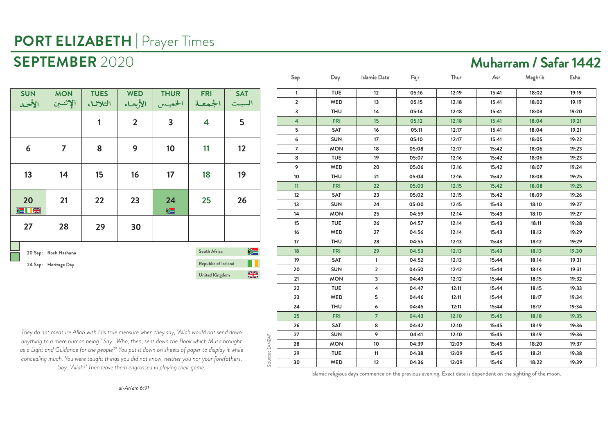### **SEPTEMBER** 2020 **Muharram / Safar 1442**

| <b>SUN</b><br>الأحد                        | <b>MON</b><br>الإثنين | <b>TUES</b><br>الثلاثاء | <b>WED</b><br>الأبحاء | <b>THUR</b><br>الخميس       | <b>FRI</b><br>الجمعة  | <b>SAT</b><br>السبت       |
|--------------------------------------------|-----------------------|-------------------------|-----------------------|-----------------------------|-----------------------|---------------------------|
|                                            |                       | 1                       | $\overline{2}$        | 3                           | 4                     | 5                         |
| 6                                          | 7                     | 8                       | 9                     | 10                          | 11                    | 12                        |
| 13                                         | 14                    | 15                      | 16                    | 17                          | 18                    | 19                        |
| 20<br>$\blacktriangleright$ $\blacksquare$ | 21                    | 22                      | 23                    | 24<br>$\blacktriangleright$ | 25                    | 26                        |
| 27                                         | 28                    | 29                      | 30                    |                             |                       |                           |
|                                            |                       |                         |                       |                             | South Africa          | $\blacktriangleright$ $=$ |
|                                            | 20 Sep: Rosh Hashana  |                         |                       |                             |                       |                           |
|                                            | 24 Sep: Heritage Day  |                         |                       |                             | Republic of Ireland   |                           |
|                                            |                       |                         |                       |                             | <b>United Kingdom</b> | 6                         |

| $\mathbf{1}$   | <b>TUE</b> | 12             | 05:16 | 12:19 | 15:41 | 18:02 | 19:19 |
|----------------|------------|----------------|-------|-------|-------|-------|-------|
| $\overline{2}$ | WED        | 13             | 05:15 | 12:18 | 15:41 | 18:02 | 19:19 |
| 3              | <b>THU</b> | 14             | 05:14 | 12:18 | 15:41 | 18:03 | 19:20 |
| 4              | <b>FRI</b> | 15             | 05:12 | 12:18 | 15:41 | 18:04 | 19:21 |
| 5              | SAT        | 16             | 05:11 | 12:17 | 15:41 | 18:04 | 19:21 |
| 6              | <b>SUN</b> | 17             | 05:10 | 12:17 | 15:41 | 18:05 | 19:22 |
| $\overline{7}$ | <b>MON</b> | 18             | 05:08 | 12:17 | 15:42 | 18:06 | 19:23 |
| 8              | <b>TUE</b> | 19             | 05:07 | 12:16 | 15:42 | 18:06 | 19:23 |
| 9              | <b>WED</b> | 20             | 05:06 | 12:16 | 15:42 | 18:07 | 19:24 |
| 10             | <b>THU</b> | 21             | 05:04 | 12:16 | 15:42 | 18:08 | 19:25 |
| 11             | <b>FRI</b> | 22             | 05:03 | 12:15 | 15:42 | 18:08 | 19:25 |
| 12             | SAT        | 23             | 05:02 | 12:15 | 15:42 | 18:09 | 19:26 |
| 13             | <b>SUN</b> | 24             | 05:00 | 12:15 | 15:43 | 18:10 | 19:27 |
| 14             | <b>MON</b> | 25             | 04:59 | 12:14 | 15:43 | 18:10 | 19:27 |
| 15             | <b>TUE</b> | 26             | 04:57 | 12:14 | 15:43 | 18:11 | 19:28 |
| 16             | WED        | 27             | 04:56 | 12:14 | 15:43 | 18:12 | 19:29 |
| 17             | <b>THU</b> | 28             | 04:55 | 12:13 | 15:43 | 18:12 | 19:29 |
| 18             | <b>FRI</b> | 29             | 04:53 | 12:13 | 15:43 | 18:13 | 19:30 |
| 19             | <b>SAT</b> | $\mathbf{1}$   | 04:52 | 12:13 | 15:44 | 18:14 | 19:31 |
| 20             | <b>SUN</b> | $\overline{2}$ | 04:50 | 12:12 | 15:44 | 18:14 | 19:31 |
| 21             | <b>MON</b> | 3              | 04:49 | 12:12 | 15:44 | 18:15 | 19:32 |
| 22             | <b>TUE</b> | 4              | 04:47 | 12:11 | 15:44 | 18:15 | 19:33 |
| 23             | <b>WED</b> | 5              | 04:46 | 12:11 | 15:44 | 18:17 | 19:34 |
| 24             | <b>THU</b> | 6              | 04:45 | 12:11 | 15:44 | 18:17 | 19:34 |
| 25             | <b>FRI</b> | $\overline{7}$ | 04:43 | 12:10 | 15:45 | 18:18 | 19:35 |
| 26             | <b>SAT</b> | 8              | 04:42 | 12:10 | 15:45 | 18:19 | 19:36 |
| 27             | <b>SUN</b> | 9              | 04:41 | 12:10 | 15:45 | 18:19 | 19:36 |
| 28             | <b>MON</b> | 10             | 04:39 | 12:09 | 15:45 | 18:20 | 19:37 |
| 29             | <b>TUE</b> | 11             | 04:38 | 12:09 | 15:45 | 18:21 | 19:38 |
| 30             | WED        | 12             | 04:36 | 12:09 | 15:46 | 18:22 | 19:39 |

Sep Day Islamic Date Fajr Thur Asr Maghrib Esha

*They do not measure Allah with His true measure when they say, 'Allah would not send down anything to a mere human being.' Say: 'Who, then, sent down the Book which Musa brought as a Light and Guidance for the people?' You put it down on sheets of paper to display it while concealing much. You were taught things you did not know, neither you nor your forefathers. Say: 'Allah!' Then leave them engrossed in playing their game.*

Source: SANZAF

Source: SANZAF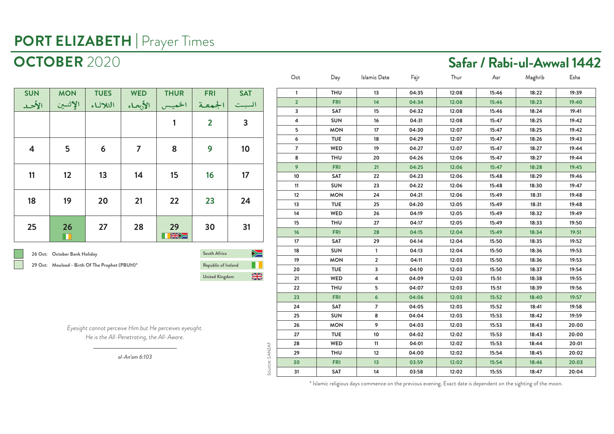| <b>TUES</b><br><b>FRI</b><br><b>THU</b><br>13<br>04:35<br>12:08<br>15:46<br>18:22<br>19:39<br><b>SUN</b><br><b>MON</b><br><b>WED</b><br><b>THUR</b><br><b>SAT</b><br>$\mathbf{1}$<br>$\overline{2}$<br><b>FRI</b><br>14<br>04:34<br>15:46<br>18:23<br>12:08<br>19:40<br>الإثنين<br>الأبعاء<br>الجمعة<br>الثلاثاء<br>الخميس<br>السبت<br>الأحد<br>3<br><b>SAT</b><br>15<br>19:41<br>04:32<br>12:08<br>15:46<br>18:24<br><b>SUN</b><br>16<br>19:42<br>4<br>04:31<br>12:08<br>15:47<br>18:25<br>$\overline{2}$<br>3<br>1<br><b>MON</b><br>17<br>5<br>04:30<br>12:07<br>15:47<br>18:25<br>19:42<br>6<br><b>TUE</b><br>18<br>19:43<br>04:29<br>12:07<br>15:47<br>18:26<br>5<br>$\overline{7}$<br>9<br>8<br>10<br>4<br>6<br>$\overline{7}$<br>WED<br>19<br>04:27<br>15:47<br>18:27<br>19:44<br>12:07<br>8<br><b>THU</b><br>20<br>04:26<br>12:06<br>15:47<br>18:27<br>19:44<br>9<br><b>FRI</b><br>21<br>15:47<br>19:45<br>04:25<br>12:06<br>18:28<br>12<br>13<br>14<br>15<br>16<br>17<br>11<br>10<br><b>SAT</b><br>22<br>04:23<br>12:06<br>15:48<br>18:29<br>19:46<br><b>SUN</b><br>23<br>15:48<br>19:47<br>11<br>04:22<br>12:06<br>18:30<br>12<br><b>MON</b><br>24<br>04:21<br>12:06<br>15:49<br>18:31<br>19:48<br>19<br>22<br>23<br>20<br>21<br>24<br>18<br>13<br><b>TUE</b><br>25<br>04:20<br>12:05<br>15:49<br>19:48<br>18:31<br>14<br>WED<br>26<br>15:49<br>18:32<br>19:49<br>04:19<br>12:05<br><b>THU</b><br>27<br>15<br>04:17<br>12:05<br>15:49<br>18:33<br>19:50<br>28<br>27<br>29<br>30<br>31<br>25<br>26<br>16<br><b>FRI</b><br>28<br>04:15<br>12:04<br>15:49<br>18:34<br>19:51<br>KSK<br>m<br>17<br><b>SAT</b><br>29<br>15:50<br>19:52<br>04:14<br>12:04<br>18:35<br><b>SUN</b><br>18:36<br>19:53<br>18<br>04:13<br>12:04<br>15:50<br>$\mathbf{1}$<br>$\geq$<br>South Africa<br>26 Oct: October Bank Holiday<br>19<br><b>MON</b><br>$\overline{2}$<br>15:50<br>18:36<br>19:53<br>04:11<br>12:03<br>П<br>29 Oct: Moulood - Birth Of The Prophet (PBUH)*<br>Republic of Ireland<br><b>TUE</b><br>20<br>3<br>15:50<br>18:37<br>19:54<br>04:10<br>12:03<br>▒<br><b>United Kingdom</b><br>WED<br>21<br>$\overline{4}$<br>04:09<br>12:03<br>15:51<br>18:38<br>19:55<br><b>THU</b><br>22<br>5<br>04:07<br>12:03<br>15:51<br>18:39<br>19:56<br>23<br><b>FRI</b><br>$6 \overline{6}$<br>04:06<br>12:03<br>15:52<br>18:40<br>19:57<br>24<br><b>SAT</b><br>$\overline{7}$<br>15:52<br>04:05<br>12:03<br>18:41<br>19:58<br><b>SUN</b><br>8<br>19:59<br>25<br>04:04<br>12:03<br>15:53<br>18:42<br>26<br><b>MON</b><br>9<br>15:53<br>18:43<br>04:03<br>12:03<br>20:00<br>Eyesight cannot perceive Him but He perceives eyesight.<br>27<br><b>TUE</b><br>10<br>04:02<br>15:53<br>18:43<br>20:00<br>12:02<br>He is the All-Penetrating, the All-Aware.<br>WED<br>15:53<br>28<br>11<br>04:01<br>12:02<br>18:44<br>20:01<br>Source: SANZAF<br><b>THU</b><br>12<br>12:02<br>15:54<br>29<br>04:00<br>18:45<br>20:02<br>al-An'am 6:103<br><b>FRI</b><br>30<br>13<br>03:59<br>12:02<br>15:54<br>18:46<br>20:03<br>31<br><b>SAT</b><br>14<br>03:58<br>12:02<br>15:55<br>18:47<br>20:04 |  |  |  |  |  |  | Oct | Day | <b>Islamic Date</b> | Fajr | Thur | Asr | Maghrib | Esha |
|--------------------------------------------------------------------------------------------------------------------------------------------------------------------------------------------------------------------------------------------------------------------------------------------------------------------------------------------------------------------------------------------------------------------------------------------------------------------------------------------------------------------------------------------------------------------------------------------------------------------------------------------------------------------------------------------------------------------------------------------------------------------------------------------------------------------------------------------------------------------------------------------------------------------------------------------------------------------------------------------------------------------------------------------------------------------------------------------------------------------------------------------------------------------------------------------------------------------------------------------------------------------------------------------------------------------------------------------------------------------------------------------------------------------------------------------------------------------------------------------------------------------------------------------------------------------------------------------------------------------------------------------------------------------------------------------------------------------------------------------------------------------------------------------------------------------------------------------------------------------------------------------------------------------------------------------------------------------------------------------------------------------------------------------------------------------------------------------------------------------------------------------------------------------------------------------------------------------------------------------------------------------------------------------------------------------------------------------------------------------------------------------------------------------------------------------------------------------------------------------------------------------------------------------------------------------------------------------------------------------------------------------------------------------------------------------------------------------------------------------------------------------------------------------------------------------------------------------------------------------------------------------------------------------------------------------------------------------------------------------------------------------------------------------------------------------|--|--|--|--|--|--|-----|-----|---------------------|------|------|-----|---------|------|
|                                                                                                                                                                                                                                                                                                                                                                                                                                                                                                                                                                                                                                                                                                                                                                                                                                                                                                                                                                                                                                                                                                                                                                                                                                                                                                                                                                                                                                                                                                                                                                                                                                                                                                                                                                                                                                                                                                                                                                                                                                                                                                                                                                                                                                                                                                                                                                                                                                                                                                                                                                                                                                                                                                                                                                                                                                                                                                                                                                                                                                                                    |  |  |  |  |  |  |     |     |                     |      |      |     |         |      |
|                                                                                                                                                                                                                                                                                                                                                                                                                                                                                                                                                                                                                                                                                                                                                                                                                                                                                                                                                                                                                                                                                                                                                                                                                                                                                                                                                                                                                                                                                                                                                                                                                                                                                                                                                                                                                                                                                                                                                                                                                                                                                                                                                                                                                                                                                                                                                                                                                                                                                                                                                                                                                                                                                                                                                                                                                                                                                                                                                                                                                                                                    |  |  |  |  |  |  |     |     |                     |      |      |     |         |      |
|                                                                                                                                                                                                                                                                                                                                                                                                                                                                                                                                                                                                                                                                                                                                                                                                                                                                                                                                                                                                                                                                                                                                                                                                                                                                                                                                                                                                                                                                                                                                                                                                                                                                                                                                                                                                                                                                                                                                                                                                                                                                                                                                                                                                                                                                                                                                                                                                                                                                                                                                                                                                                                                                                                                                                                                                                                                                                                                                                                                                                                                                    |  |  |  |  |  |  |     |     |                     |      |      |     |         |      |
|                                                                                                                                                                                                                                                                                                                                                                                                                                                                                                                                                                                                                                                                                                                                                                                                                                                                                                                                                                                                                                                                                                                                                                                                                                                                                                                                                                                                                                                                                                                                                                                                                                                                                                                                                                                                                                                                                                                                                                                                                                                                                                                                                                                                                                                                                                                                                                                                                                                                                                                                                                                                                                                                                                                                                                                                                                                                                                                                                                                                                                                                    |  |  |  |  |  |  |     |     |                     |      |      |     |         |      |
|                                                                                                                                                                                                                                                                                                                                                                                                                                                                                                                                                                                                                                                                                                                                                                                                                                                                                                                                                                                                                                                                                                                                                                                                                                                                                                                                                                                                                                                                                                                                                                                                                                                                                                                                                                                                                                                                                                                                                                                                                                                                                                                                                                                                                                                                                                                                                                                                                                                                                                                                                                                                                                                                                                                                                                                                                                                                                                                                                                                                                                                                    |  |  |  |  |  |  |     |     |                     |      |      |     |         |      |
|                                                                                                                                                                                                                                                                                                                                                                                                                                                                                                                                                                                                                                                                                                                                                                                                                                                                                                                                                                                                                                                                                                                                                                                                                                                                                                                                                                                                                                                                                                                                                                                                                                                                                                                                                                                                                                                                                                                                                                                                                                                                                                                                                                                                                                                                                                                                                                                                                                                                                                                                                                                                                                                                                                                                                                                                                                                                                                                                                                                                                                                                    |  |  |  |  |  |  |     |     |                     |      |      |     |         |      |
|                                                                                                                                                                                                                                                                                                                                                                                                                                                                                                                                                                                                                                                                                                                                                                                                                                                                                                                                                                                                                                                                                                                                                                                                                                                                                                                                                                                                                                                                                                                                                                                                                                                                                                                                                                                                                                                                                                                                                                                                                                                                                                                                                                                                                                                                                                                                                                                                                                                                                                                                                                                                                                                                                                                                                                                                                                                                                                                                                                                                                                                                    |  |  |  |  |  |  |     |     |                     |      |      |     |         |      |
|                                                                                                                                                                                                                                                                                                                                                                                                                                                                                                                                                                                                                                                                                                                                                                                                                                                                                                                                                                                                                                                                                                                                                                                                                                                                                                                                                                                                                                                                                                                                                                                                                                                                                                                                                                                                                                                                                                                                                                                                                                                                                                                                                                                                                                                                                                                                                                                                                                                                                                                                                                                                                                                                                                                                                                                                                                                                                                                                                                                                                                                                    |  |  |  |  |  |  |     |     |                     |      |      |     |         |      |
|                                                                                                                                                                                                                                                                                                                                                                                                                                                                                                                                                                                                                                                                                                                                                                                                                                                                                                                                                                                                                                                                                                                                                                                                                                                                                                                                                                                                                                                                                                                                                                                                                                                                                                                                                                                                                                                                                                                                                                                                                                                                                                                                                                                                                                                                                                                                                                                                                                                                                                                                                                                                                                                                                                                                                                                                                                                                                                                                                                                                                                                                    |  |  |  |  |  |  |     |     |                     |      |      |     |         |      |
|                                                                                                                                                                                                                                                                                                                                                                                                                                                                                                                                                                                                                                                                                                                                                                                                                                                                                                                                                                                                                                                                                                                                                                                                                                                                                                                                                                                                                                                                                                                                                                                                                                                                                                                                                                                                                                                                                                                                                                                                                                                                                                                                                                                                                                                                                                                                                                                                                                                                                                                                                                                                                                                                                                                                                                                                                                                                                                                                                                                                                                                                    |  |  |  |  |  |  |     |     |                     |      |      |     |         |      |
|                                                                                                                                                                                                                                                                                                                                                                                                                                                                                                                                                                                                                                                                                                                                                                                                                                                                                                                                                                                                                                                                                                                                                                                                                                                                                                                                                                                                                                                                                                                                                                                                                                                                                                                                                                                                                                                                                                                                                                                                                                                                                                                                                                                                                                                                                                                                                                                                                                                                                                                                                                                                                                                                                                                                                                                                                                                                                                                                                                                                                                                                    |  |  |  |  |  |  |     |     |                     |      |      |     |         |      |
|                                                                                                                                                                                                                                                                                                                                                                                                                                                                                                                                                                                                                                                                                                                                                                                                                                                                                                                                                                                                                                                                                                                                                                                                                                                                                                                                                                                                                                                                                                                                                                                                                                                                                                                                                                                                                                                                                                                                                                                                                                                                                                                                                                                                                                                                                                                                                                                                                                                                                                                                                                                                                                                                                                                                                                                                                                                                                                                                                                                                                                                                    |  |  |  |  |  |  |     |     |                     |      |      |     |         |      |
|                                                                                                                                                                                                                                                                                                                                                                                                                                                                                                                                                                                                                                                                                                                                                                                                                                                                                                                                                                                                                                                                                                                                                                                                                                                                                                                                                                                                                                                                                                                                                                                                                                                                                                                                                                                                                                                                                                                                                                                                                                                                                                                                                                                                                                                                                                                                                                                                                                                                                                                                                                                                                                                                                                                                                                                                                                                                                                                                                                                                                                                                    |  |  |  |  |  |  |     |     |                     |      |      |     |         |      |
|                                                                                                                                                                                                                                                                                                                                                                                                                                                                                                                                                                                                                                                                                                                                                                                                                                                                                                                                                                                                                                                                                                                                                                                                                                                                                                                                                                                                                                                                                                                                                                                                                                                                                                                                                                                                                                                                                                                                                                                                                                                                                                                                                                                                                                                                                                                                                                                                                                                                                                                                                                                                                                                                                                                                                                                                                                                                                                                                                                                                                                                                    |  |  |  |  |  |  |     |     |                     |      |      |     |         |      |
|                                                                                                                                                                                                                                                                                                                                                                                                                                                                                                                                                                                                                                                                                                                                                                                                                                                                                                                                                                                                                                                                                                                                                                                                                                                                                                                                                                                                                                                                                                                                                                                                                                                                                                                                                                                                                                                                                                                                                                                                                                                                                                                                                                                                                                                                                                                                                                                                                                                                                                                                                                                                                                                                                                                                                                                                                                                                                                                                                                                                                                                                    |  |  |  |  |  |  |     |     |                     |      |      |     |         |      |
|                                                                                                                                                                                                                                                                                                                                                                                                                                                                                                                                                                                                                                                                                                                                                                                                                                                                                                                                                                                                                                                                                                                                                                                                                                                                                                                                                                                                                                                                                                                                                                                                                                                                                                                                                                                                                                                                                                                                                                                                                                                                                                                                                                                                                                                                                                                                                                                                                                                                                                                                                                                                                                                                                                                                                                                                                                                                                                                                                                                                                                                                    |  |  |  |  |  |  |     |     |                     |      |      |     |         |      |
|                                                                                                                                                                                                                                                                                                                                                                                                                                                                                                                                                                                                                                                                                                                                                                                                                                                                                                                                                                                                                                                                                                                                                                                                                                                                                                                                                                                                                                                                                                                                                                                                                                                                                                                                                                                                                                                                                                                                                                                                                                                                                                                                                                                                                                                                                                                                                                                                                                                                                                                                                                                                                                                                                                                                                                                                                                                                                                                                                                                                                                                                    |  |  |  |  |  |  |     |     |                     |      |      |     |         |      |
|                                                                                                                                                                                                                                                                                                                                                                                                                                                                                                                                                                                                                                                                                                                                                                                                                                                                                                                                                                                                                                                                                                                                                                                                                                                                                                                                                                                                                                                                                                                                                                                                                                                                                                                                                                                                                                                                                                                                                                                                                                                                                                                                                                                                                                                                                                                                                                                                                                                                                                                                                                                                                                                                                                                                                                                                                                                                                                                                                                                                                                                                    |  |  |  |  |  |  |     |     |                     |      |      |     |         |      |
|                                                                                                                                                                                                                                                                                                                                                                                                                                                                                                                                                                                                                                                                                                                                                                                                                                                                                                                                                                                                                                                                                                                                                                                                                                                                                                                                                                                                                                                                                                                                                                                                                                                                                                                                                                                                                                                                                                                                                                                                                                                                                                                                                                                                                                                                                                                                                                                                                                                                                                                                                                                                                                                                                                                                                                                                                                                                                                                                                                                                                                                                    |  |  |  |  |  |  |     |     |                     |      |      |     |         |      |
|                                                                                                                                                                                                                                                                                                                                                                                                                                                                                                                                                                                                                                                                                                                                                                                                                                                                                                                                                                                                                                                                                                                                                                                                                                                                                                                                                                                                                                                                                                                                                                                                                                                                                                                                                                                                                                                                                                                                                                                                                                                                                                                                                                                                                                                                                                                                                                                                                                                                                                                                                                                                                                                                                                                                                                                                                                                                                                                                                                                                                                                                    |  |  |  |  |  |  |     |     |                     |      |      |     |         |      |
|                                                                                                                                                                                                                                                                                                                                                                                                                                                                                                                                                                                                                                                                                                                                                                                                                                                                                                                                                                                                                                                                                                                                                                                                                                                                                                                                                                                                                                                                                                                                                                                                                                                                                                                                                                                                                                                                                                                                                                                                                                                                                                                                                                                                                                                                                                                                                                                                                                                                                                                                                                                                                                                                                                                                                                                                                                                                                                                                                                                                                                                                    |  |  |  |  |  |  |     |     |                     |      |      |     |         |      |
|                                                                                                                                                                                                                                                                                                                                                                                                                                                                                                                                                                                                                                                                                                                                                                                                                                                                                                                                                                                                                                                                                                                                                                                                                                                                                                                                                                                                                                                                                                                                                                                                                                                                                                                                                                                                                                                                                                                                                                                                                                                                                                                                                                                                                                                                                                                                                                                                                                                                                                                                                                                                                                                                                                                                                                                                                                                                                                                                                                                                                                                                    |  |  |  |  |  |  |     |     |                     |      |      |     |         |      |
|                                                                                                                                                                                                                                                                                                                                                                                                                                                                                                                                                                                                                                                                                                                                                                                                                                                                                                                                                                                                                                                                                                                                                                                                                                                                                                                                                                                                                                                                                                                                                                                                                                                                                                                                                                                                                                                                                                                                                                                                                                                                                                                                                                                                                                                                                                                                                                                                                                                                                                                                                                                                                                                                                                                                                                                                                                                                                                                                                                                                                                                                    |  |  |  |  |  |  |     |     |                     |      |      |     |         |      |
|                                                                                                                                                                                                                                                                                                                                                                                                                                                                                                                                                                                                                                                                                                                                                                                                                                                                                                                                                                                                                                                                                                                                                                                                                                                                                                                                                                                                                                                                                                                                                                                                                                                                                                                                                                                                                                                                                                                                                                                                                                                                                                                                                                                                                                                                                                                                                                                                                                                                                                                                                                                                                                                                                                                                                                                                                                                                                                                                                                                                                                                                    |  |  |  |  |  |  |     |     |                     |      |      |     |         |      |
|                                                                                                                                                                                                                                                                                                                                                                                                                                                                                                                                                                                                                                                                                                                                                                                                                                                                                                                                                                                                                                                                                                                                                                                                                                                                                                                                                                                                                                                                                                                                                                                                                                                                                                                                                                                                                                                                                                                                                                                                                                                                                                                                                                                                                                                                                                                                                                                                                                                                                                                                                                                                                                                                                                                                                                                                                                                                                                                                                                                                                                                                    |  |  |  |  |  |  |     |     |                     |      |      |     |         |      |
|                                                                                                                                                                                                                                                                                                                                                                                                                                                                                                                                                                                                                                                                                                                                                                                                                                                                                                                                                                                                                                                                                                                                                                                                                                                                                                                                                                                                                                                                                                                                                                                                                                                                                                                                                                                                                                                                                                                                                                                                                                                                                                                                                                                                                                                                                                                                                                                                                                                                                                                                                                                                                                                                                                                                                                                                                                                                                                                                                                                                                                                                    |  |  |  |  |  |  |     |     |                     |      |      |     |         |      |
|                                                                                                                                                                                                                                                                                                                                                                                                                                                                                                                                                                                                                                                                                                                                                                                                                                                                                                                                                                                                                                                                                                                                                                                                                                                                                                                                                                                                                                                                                                                                                                                                                                                                                                                                                                                                                                                                                                                                                                                                                                                                                                                                                                                                                                                                                                                                                                                                                                                                                                                                                                                                                                                                                                                                                                                                                                                                                                                                                                                                                                                                    |  |  |  |  |  |  |     |     |                     |      |      |     |         |      |
|                                                                                                                                                                                                                                                                                                                                                                                                                                                                                                                                                                                                                                                                                                                                                                                                                                                                                                                                                                                                                                                                                                                                                                                                                                                                                                                                                                                                                                                                                                                                                                                                                                                                                                                                                                                                                                                                                                                                                                                                                                                                                                                                                                                                                                                                                                                                                                                                                                                                                                                                                                                                                                                                                                                                                                                                                                                                                                                                                                                                                                                                    |  |  |  |  |  |  |     |     |                     |      |      |     |         |      |
|                                                                                                                                                                                                                                                                                                                                                                                                                                                                                                                                                                                                                                                                                                                                                                                                                                                                                                                                                                                                                                                                                                                                                                                                                                                                                                                                                                                                                                                                                                                                                                                                                                                                                                                                                                                                                                                                                                                                                                                                                                                                                                                                                                                                                                                                                                                                                                                                                                                                                                                                                                                                                                                                                                                                                                                                                                                                                                                                                                                                                                                                    |  |  |  |  |  |  |     |     |                     |      |      |     |         |      |
|                                                                                                                                                                                                                                                                                                                                                                                                                                                                                                                                                                                                                                                                                                                                                                                                                                                                                                                                                                                                                                                                                                                                                                                                                                                                                                                                                                                                                                                                                                                                                                                                                                                                                                                                                                                                                                                                                                                                                                                                                                                                                                                                                                                                                                                                                                                                                                                                                                                                                                                                                                                                                                                                                                                                                                                                                                                                                                                                                                                                                                                                    |  |  |  |  |  |  |     |     |                     |      |      |     |         |      |
|                                                                                                                                                                                                                                                                                                                                                                                                                                                                                                                                                                                                                                                                                                                                                                                                                                                                                                                                                                                                                                                                                                                                                                                                                                                                                                                                                                                                                                                                                                                                                                                                                                                                                                                                                                                                                                                                                                                                                                                                                                                                                                                                                                                                                                                                                                                                                                                                                                                                                                                                                                                                                                                                                                                                                                                                                                                                                                                                                                                                                                                                    |  |  |  |  |  |  |     |     |                     |      |      |     |         |      |

\* Islamic religious days commence on the previous evening. Exact date is dependent on the sighting of the moon.

### **OCTOBER** 2020 **Safar / Rabi-ul-Awwal 1442**

**26 Oct: October Bank Holiday**

الأحد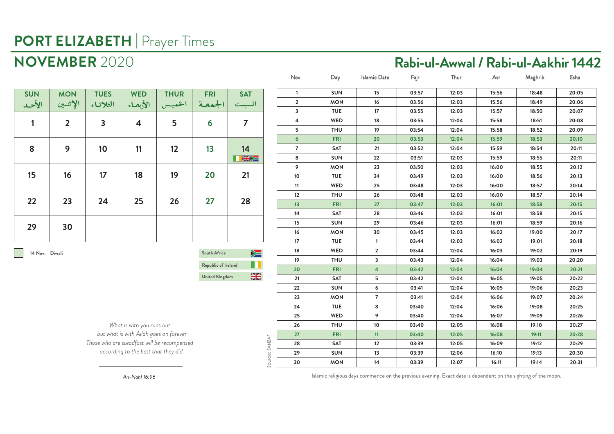**NOVEMBER** 2020 **Rabi-ul-Awwal / Rabi-ul-Aakhir 1442**

| <b>SUN</b><br>الأحد | <b>MON</b><br>الإثنين | <b>TUES</b><br>الثلاثاء | <b>WED</b><br>الأبعاء   | <b>THUR</b><br>الخميس | <b>FRI</b><br>الجمعة | <b>SAT</b><br>السبت |
|---------------------|-----------------------|-------------------------|-------------------------|-----------------------|----------------------|---------------------|
| $\mathbf{1}$        | $\overline{2}$        | $\overline{3}$          | $\overline{\mathbf{4}}$ | 5                     | 6                    | $\overline{7}$      |
| 8                   | 9                     | 10                      | 11                      | 12                    | 13                   | 14<br>天光水           |
| 15                  | 16                    | 17                      | 18                      | 19                    | 20                   | 21                  |
| 22                  | 23                    | 24                      | 25                      | 26                    | 27                   | 28                  |
| 29                  | 30                    |                         |                         |                       |                      |                     |

**14 Nov: Diwali**

**South Africa** ▶≡ **Republic of Ireland** M I  $\frac{N}{N}$ **United Kingdom**

*What is with you runs out but what is with Allah goes on forever Those who are steadfast will be recompensed according to the best that they did.*

| Nov            | Day        | <b>Islamic Date</b>     | Fajr  | Thur  | Asr   | Maghrib | Esha  |
|----------------|------------|-------------------------|-------|-------|-------|---------|-------|
| 1              | <b>SUN</b> | 15                      | 03:57 | 12:03 | 15:56 | 18:48   | 20:05 |
| $\mathbf{2}$   | <b>MON</b> | 16                      | 03:56 | 12:03 | 15:56 | 18:49   | 20:06 |
| 3              | <b>TUE</b> | 17                      | 03:55 | 12:03 | 15:57 | 18:50   | 20:07 |
| 4              | WED        | 18                      | 03:55 | 12:04 | 15:58 | 18:51   | 20:08 |
| 5              | <b>THU</b> | 19                      | 03:54 | 12:04 | 15:58 | 18:52   | 20:09 |
| 6              | <b>FRI</b> | 20                      | 03:53 | 12:04 | 15:59 | 18:53   | 20:10 |
| $\overline{7}$ | SAT        | 21                      | 03:52 | 12:04 | 15:59 | 18:54   | 20:11 |
| 8              | <b>SUN</b> | 22                      | 03:51 | 12:03 | 15:59 | 18:55   | 20:11 |
| 9              | <b>MON</b> | 23                      | 03:50 | 12:03 | 16:00 | 18:55   | 20:12 |
| 10             | <b>TUE</b> | 24                      | 03:49 | 12:03 | 16:00 | 18:56   | 20:13 |
| 11             | WED        | 25                      | 03:48 | 12:03 | 16:00 | 18:57   | 20:14 |
| 12             | <b>THU</b> | 26                      | 03:48 | 12:03 | 16:00 | 18:57   | 20:14 |
| 13             | <b>FRI</b> | 27                      | 03:47 | 12:03 | 16:01 | 18:58   | 20:15 |
| 14             | SAT        | 28                      | 03:46 | 12:03 | 16:01 | 18:58   | 20:15 |
| 15             | <b>SUN</b> | 29                      | 03:46 | 12:03 | 16:01 | 18:59   | 20:16 |
| 16             | <b>MON</b> | 30                      | 03:45 | 12:03 | 16:02 | 19:00   | 20:17 |
| 17             | <b>TUE</b> | $\mathbf{1}$            | 03:44 | 12:03 | 16:02 | 19:01   | 20:18 |
| 18             | WED        | $\overline{\mathbf{2}}$ | 03:44 | 12:04 | 16:03 | 19:02   | 20:19 |
| 19             | <b>THU</b> | 3                       | 03:43 | 12:04 | 16:04 | 19:03   | 20:20 |
| 20             | <b>FRI</b> | $\overline{\mathbf{4}}$ | 03:42 | 12:04 | 16:04 | 19:04   | 20:21 |
| 21             | SAT        | 5                       | 03:42 | 12:04 | 16:05 | 19:05   | 20:22 |
| 22             | <b>SUN</b> | 6                       | 03:41 | 12:04 | 16:05 | 19:06   | 20:23 |
| 23             | <b>MON</b> | $\overline{7}$          | 03:41 | 12:04 | 16:06 | 19:07   | 20:24 |
| 24             | <b>TUE</b> | 8                       | 03:40 | 12:04 | 16:06 | 19:08   | 20:25 |
| 25             | WED        | 9                       | 03:40 | 12:04 | 16:07 | 19:09   | 20:26 |
| 26             | <b>THU</b> | 10                      | 03:40 | 12:05 | 16:08 | 19:10   | 20:27 |
| 27             | <b>FRI</b> | 11                      | 03:40 | 12:05 | 16:08 | 19:11   | 20:28 |
| 28             | SAT        | $12 \overline{ }$       | 03:39 | 12:05 | 16:09 | 19:12   | 20:29 |
| 29             | <b>SUN</b> | 13                      | 03:39 | 12:06 | 16:10 | 19:13   | 20:30 |
| 30             | <b>MON</b> | 14                      | 03:39 | 12:07 | 16:11 | 19:14   | 20:31 |
|                |            |                         |       |       |       |         |       |

*An-Nahl 16:96*